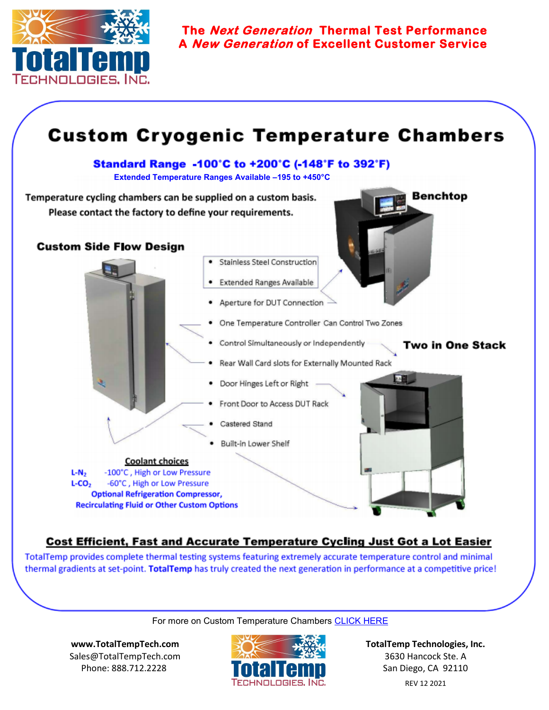

**The Next Generation Thermal Test Performance A New Generation of Excellent Customer Service** 



## **Cost Efficient, Fast and Accurate Temperature Cycling Just Got a Lot Easier**

TotalTemp provides complete thermal testing systems featuring extremely accurate temperature control and minimal thermal gradients at set-point. TotalTemp has truly created the next generation in performance at a competitive price!

## For more on Custom Temperature Chambers [CLICK HERE](https://www.totaltemptech.com/custom-systems-for-thermal-platforms/#custchmbr)

**[www.TotalTempTech.com](http://www.TotalTempTech.com)** Sales@TotalTempTech.com Phone: 888.712.2228



**TotalTemp Technologies, Inc.** 3630 Hancock Ste. A San Diego, CA 92110 REV 12 2021